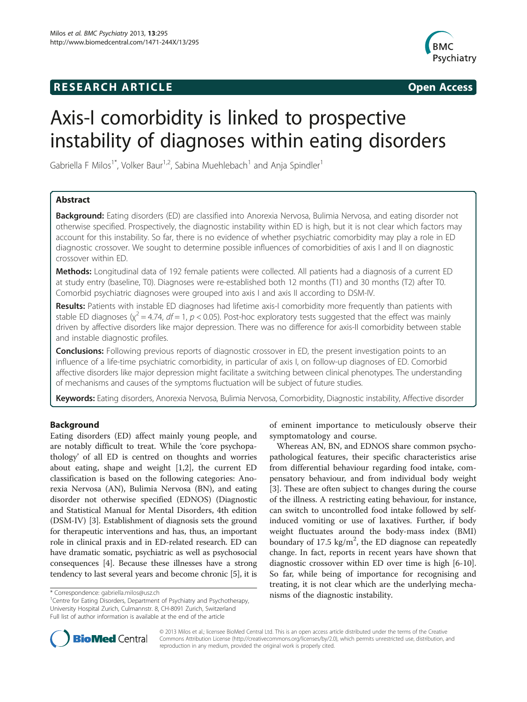# **RESEARCH ARTICLE Example 2014 CONSIDERING CONSIDERING CONSIDERING CONSIDERING CONSIDERING CONSIDERING CONSIDERING CONSIDERING CONSIDERING CONSIDERING CONSIDERING CONSIDERING CONSIDERING CONSIDERING CONSIDERING CONSIDE**



# Axis-I comorbidity is linked to prospective instability of diagnoses within eating disorders

Gabriella F Milos<sup>1\*</sup>, Volker Baur<sup>1,2</sup>, Sabina Muehlebach<sup>1</sup> and Anja Spindler<sup>1</sup>

# Abstract

Background: Eating disorders (ED) are classified into Anorexia Nervosa, Bulimia Nervosa, and eating disorder not otherwise specified. Prospectively, the diagnostic instability within ED is high, but it is not clear which factors may account for this instability. So far, there is no evidence of whether psychiatric comorbidity may play a role in ED diagnostic crossover. We sought to determine possible influences of comorbidities of axis I and II on diagnostic crossover within ED.

Methods: Longitudinal data of 192 female patients were collected. All patients had a diagnosis of a current ED at study entry (baseline, T0). Diagnoses were re-established both 12 months (T1) and 30 months (T2) after T0. Comorbid psychiatric diagnoses were grouped into axis I and axis II according to DSM-IV.

Results: Patients with instable ED diagnoses had lifetime axis-I comorbidity more frequently than patients with stable ED diagnoses ( $\chi^2$  = 4.74, df = 1, p < 0.05). Post-hoc exploratory tests suggested that the effect was mainly driven by affective disorders like major depression. There was no difference for axis-II comorbidity between stable and instable diagnostic profiles.

**Conclusions:** Following previous reports of diagnostic crossover in ED, the present investigation points to an influence of a life-time psychiatric comorbidity, in particular of axis I, on follow-up diagnoses of ED. Comorbid affective disorders like major depression might facilitate a switching between clinical phenotypes. The understanding of mechanisms and causes of the symptoms fluctuation will be subject of future studies.

Keywords: Eating disorders, Anorexia Nervosa, Bulimia Nervosa, Comorbidity, Diagnostic instability, Affective disorder

# Background

Eating disorders (ED) affect mainly young people, and are notably difficult to treat. While the 'core psychopathology' of all ED is centred on thoughts and worries about eating, shape and weight [[1,2\]](#page-4-0), the current ED classification is based on the following categories: Anorexia Nervosa (AN), Bulimia Nervosa (BN), and eating disorder not otherwise specified (EDNOS) (Diagnostic and Statistical Manual for Mental Disorders, 4th edition (DSM-IV) [[3\]](#page-4-0). Establishment of diagnosis sets the ground for therapeutic interventions and has, thus, an important role in clinical praxis and in ED-related research. ED can have dramatic somatic, psychiatric as well as psychosocial consequences [\[4](#page-4-0)]. Because these illnesses have a strong tendency to last several years and become chronic [\[5](#page-4-0)], it is

of eminent importance to meticulously observe their symptomatology and course.

Whereas AN, BN, and EDNOS share common psychopathological features, their specific characteristics arise from differential behaviour regarding food intake, compensatory behaviour, and from individual body weight [[3\]](#page-4-0). These are often subject to changes during the course of the illness. A restricting eating behaviour, for instance, can switch to uncontrolled food intake followed by selfinduced vomiting or use of laxatives. Further, if body weight fluctuates around the body-mass index (BMI) boundary of 17.5  $\text{kg/m}^2$ , the ED diagnose can repeatedly change. In fact, reports in recent years have shown that diagnostic crossover within ED over time is high [[6-10](#page-4-0)]. So far, while being of importance for recognising and treating, it is not clear which are the underlying mecha\* Correspondence: [gabriella.milos@usz.ch](mailto:gabriella.milos@usz.ch) **hisms** of the diagnostic instability.



© 2013 Milos et al.; licensee BioMed Central Ltd. This is an open access article distributed under the terms of the Creative Commons Attribution License [\(http://creativecommons.org/licenses/by/2.0\)](http://creativecommons.org/licenses/by/2.0), which permits unrestricted use, distribution, and reproduction in any medium, provided the original work is properly cited.

<sup>&</sup>lt;sup>1</sup> Centre for Eating Disorders, Department of Psychiatry and Psychotherapy, University Hospital Zurich, Culmannstr. 8, CH-8091 Zurich, Switzerland Full list of author information is available at the end of the article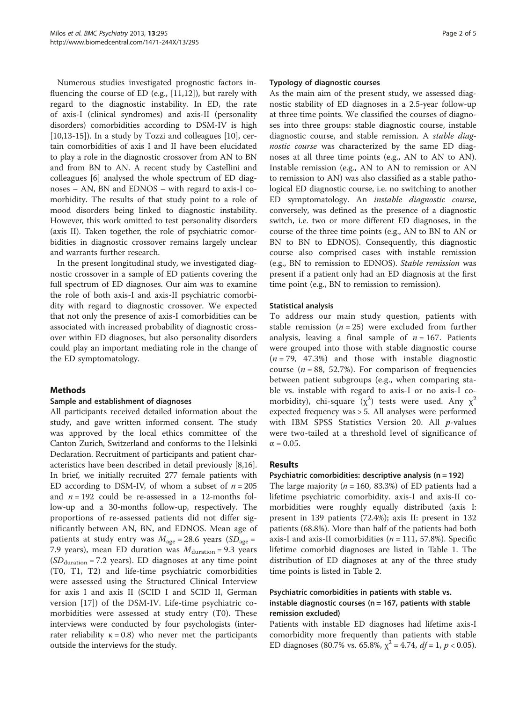Numerous studies investigated prognostic factors influencing the course of ED (e.g., [[11,12\]](#page-4-0)), but rarely with regard to the diagnostic instability. In ED, the rate of axis-I (clinical syndromes) and axis-II (personality disorders) comorbidities according to DSM-IV is high  $[10,13-15]$  $[10,13-15]$ ). In a study by Tozzi and colleagues  $[10]$  $[10]$ , certain comorbidities of axis I and II have been elucidated to play a role in the diagnostic crossover from AN to BN and from BN to AN. A recent study by Castellini and colleagues [\[6](#page-4-0)] analysed the whole spectrum of ED diagnoses – AN, BN and EDNOS – with regard to axis-I comorbidity. The results of that study point to a role of mood disorders being linked to diagnostic instability. However, this work omitted to test personality disorders (axis II). Taken together, the role of psychiatric comorbidities in diagnostic crossover remains largely unclear and warrants further research.

In the present longitudinal study, we investigated diagnostic crossover in a sample of ED patients covering the full spectrum of ED diagnoses. Our aim was to examine the role of both axis-I and axis-II psychiatric comorbidity with regard to diagnostic crossover. We expected that not only the presence of axis-I comorbidities can be associated with increased probability of diagnostic crossover within ED diagnoses, but also personality disorders could play an important mediating role in the change of the ED symptomatology.

# Methods

# Sample and establishment of diagnoses

All participants received detailed information about the study, and gave written informed consent. The study was approved by the local ethics committee of the Canton Zurich, Switzerland and conforms to the Helsinki Declaration. Recruitment of participants and patient characteristics have been described in detail previously [[8,16](#page-4-0)]. In brief, we initially recruited 277 female patients with ED according to DSM-IV, of whom a subset of  $n = 205$ and  $n = 192$  could be re-assessed in a 12-months follow-up and a 30-months follow-up, respectively. The proportions of re-assessed patients did not differ significantly between AN, BN, and EDNOS. Mean age of patients at study entry was  $M_{\text{age}} = 28.6$  years (SD<sub>age</sub> = 7.9 years), mean ED duration was  $M_{\text{duration}} = 9.3$  years  $(SD<sub>duration</sub> = 7.2 \text{ years})$ . ED diagnoses at any time point (T0, T1, T2) and life-time psychiatric comorbidities were assessed using the Structured Clinical Interview for axis I and axis II (SCID I and SCID II, German version [\[17](#page-4-0)]) of the DSM-IV. Life-time psychiatric comorbidities were assessed at study entry (T0). These interviews were conducted by four psychologists (interrater reliability  $\kappa = 0.8$ ) who never met the participants outside the interviews for the study.

#### Typology of diagnostic courses

As the main aim of the present study, we assessed diagnostic stability of ED diagnoses in a 2.5-year follow-up at three time points. We classified the courses of diagnoses into three groups: stable diagnostic course, instable diagnostic course, and stable remission. A stable diagnostic course was characterized by the same ED diagnoses at all three time points (e.g., AN to AN to AN). Instable remission (e.g., AN to AN to remission or AN to remission to AN) was also classified as a stable pathological ED diagnostic course, i.e. no switching to another ED symptomatology. An instable diagnostic course, conversely, was defined as the presence of a diagnostic switch, i.e. two or more different ED diagnoses, in the course of the three time points (e.g., AN to BN to AN or BN to BN to EDNOS). Consequently, this diagnostic course also comprised cases with instable remission (e.g., BN to remission to EDNOS). Stable remission was present if a patient only had an ED diagnosis at the first time point (e.g., BN to remission to remission).

# Statistical analysis

To address our main study question, patients with stable remission ( $n = 25$ ) were excluded from further analysis, leaving a final sample of  $n = 167$ . Patients were grouped into those with stable diagnostic course  $(n = 79, 47.3%)$  and those with instable diagnostic course ( $n = 88$ , 52.7%). For comparison of frequencies between patient subgroups (e.g., when comparing stable vs. instable with regard to axis-I or no axis-I comorbidity), chi-square  $(\chi^2)$  tests were used. Any  $\chi^2$ expected frequency was > 5. All analyses were performed with IBM SPSS Statistics Version 20. All  $p$ -values were two-tailed at a threshold level of significance of  $\alpha = 0.05$ .

# Results

# Psychiatric comorbidities: descriptive analysis (n = 192)

The large majority ( $n = 160, 83.3\%$ ) of ED patients had a lifetime psychiatric comorbidity. axis-I and axis-II comorbidities were roughly equally distributed (axis I: present in 139 patients (72.4%); axis II: present in 132 patients (68.8%). More than half of the patients had both axis-I and axis-II comorbidities ( $n = 111, 57.8\%$ ). Specific lifetime comorbid diagnoses are listed in Table [1.](#page-2-0) The distribution of ED diagnoses at any of the three study time points is listed in Table [2](#page-2-0).

# Psychiatric comorbidities in patients with stable vs. instable diagnostic courses ( $n = 167$ , patients with stable remission excluded)

Patients with instable ED diagnoses had lifetime axis-I comorbidity more frequently than patients with stable ED diagnoses (80.7% vs. 65.8%,  $\chi^2$  = 4.74,  $df = 1$ ,  $p < 0.05$ ).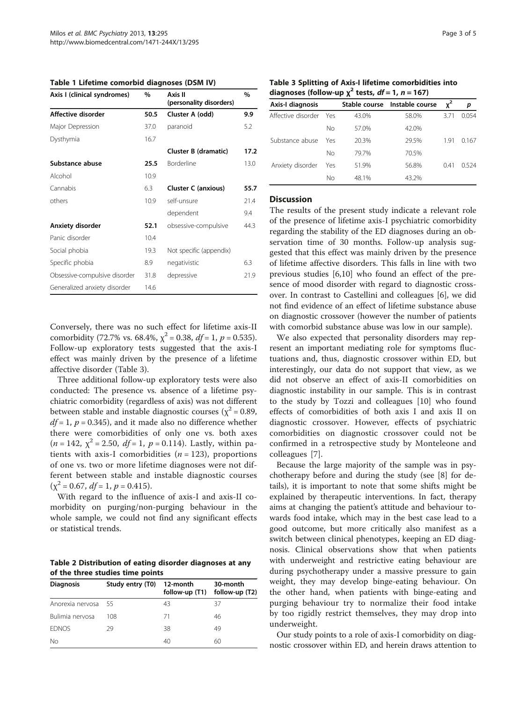<span id="page-2-0"></span>Table 1 Lifetime comorbid diagnoses (DSM IV)

| Axis I (clinical syndromes)   | $\%$ | Axis II<br>(personality disorders) | %    |
|-------------------------------|------|------------------------------------|------|
| Affective disorder            | 50.5 | Cluster A (odd)                    | 9.9  |
| Major Depression              | 37.0 | paranoid                           | 5.2  |
| Dysthymia                     | 16.7 |                                    |      |
|                               |      | Cluster B (dramatic)               | 17.2 |
| Substance abuse               | 25.5 | Borderline                         | 13.0 |
| Alcohol                       | 10.9 |                                    |      |
| Cannabis                      | 6.3  | <b>Cluster C (anxious)</b>         | 55.7 |
| others                        | 10.9 | self-unsure                        | 21.4 |
|                               |      | dependent                          | 9.4  |
| Anxiety disorder              | 52.1 | obsessive-compulsive               | 44.3 |
| Panic disorder                | 10.4 |                                    |      |
| Social phobia                 | 19.3 | Not specific (appendix)            |      |
| Specific phobia               | 8.9  | negativistic                       | 6.3  |
| Obsessive-compulsive disorder | 31.8 | depressive                         | 21.9 |
| Generalized anxiety disorder  | 14.6 |                                    |      |

Conversely, there was no such effect for lifetime axis-II comorbidity (72.7% vs. 68.4%,  $\chi^2$  = 0.38, *df* = 1, *p* = 0.535). Follow-up exploratory tests suggested that the axis-I effect was mainly driven by the presence of a lifetime affective disorder (Table 3).

Three additional follow-up exploratory tests were also conducted: The presence vs. absence of a lifetime psychiatric comorbidity (regardless of axis) was not different between stable and instable diagnostic courses ( $\chi^2$  = 0.89,  $df = 1$ ,  $p = 0.345$ ), and it made also no difference whether there were comorbidities of only one vs. both axes  $(n = 142, \gamma^2 = 2.50, df = 1, p = 0.114)$ . Lastly, within patients with axis-I comorbidities  $(n = 123)$ , proportions of one vs. two or more lifetime diagnoses were not different between stable and instable diagnostic courses  $(\chi^2 = 0.67, df = 1, p = 0.415).$ 

With regard to the influence of axis-I and axis-II comorbidity on purging/non-purging behaviour in the whole sample, we could not find any significant effects or statistical trends.

Table 2 Distribution of eating disorder diagnoses at any of the three studies time points

| <b>Diagnosis</b>    | Study entry (T0) | 12-month<br>follow-up (T1) | 30-month<br>follow-up (T2) |
|---------------------|------------------|----------------------------|----------------------------|
| Anorexia nervosa 55 |                  | 43                         | 37                         |
| Bulimia nervosa     | 108              | 71                         | 46                         |
| <b>EDNOS</b>        | 29               | 38                         | 49                         |
| Nο                  |                  | 40                         | 60                         |

Table 3 Splitting of Axis-I lifetime comorbidities into diagnoses (follow-up  $x^2$  tests,  $df = 1$ ,  $n = 167$ )

| Axis-I diagnosis   |     |       | Stable course Instable course | $x^2$ | p     |
|--------------------|-----|-------|-------------------------------|-------|-------|
| Affective disorder | Yes | 43.0% | 58.0%                         | 3.71  | 0.054 |
|                    | No  | 57.0% | 42.0%                         |       |       |
| Substance abuse    | Yes | 20.3% | 29.5%                         | 191   | 0.167 |
|                    | No  | 79.7% | 70.5%                         |       |       |
| Anxiety disorder   | Yes | 51.9% | 56.8%                         | 0.41  | በ 524 |
|                    | Nο  | 48.1% | 43.2%                         |       |       |
|                    |     |       |                               |       |       |

#### **Discussion**

The results of the present study indicate a relevant role of the presence of lifetime axis-I psychiatric comorbidity regarding the stability of the ED diagnoses during an observation time of 30 months. Follow-up analysis suggested that this effect was mainly driven by the presence of lifetime affective disorders. This falls in line with two previous studies [[6,10\]](#page-4-0) who found an effect of the presence of mood disorder with regard to diagnostic crossover. In contrast to Castellini and colleagues [\[6](#page-4-0)], we did not find evidence of an effect of lifetime substance abuse on diagnostic crossover (however the number of patients with comorbid substance abuse was low in our sample).

We also expected that personality disorders may represent an important mediating role for symptoms fluctuations and, thus, diagnostic crossover within ED, but interestingly, our data do not support that view, as we did not observe an effect of axis-II comorbidities on diagnostic instability in our sample. This is in contrast to the study by Tozzi and colleagues [[10](#page-4-0)] who found effects of comorbidities of both axis I and axis II on diagnostic crossover. However, effects of psychiatric comorbidities on diagnostic crossover could not be confirmed in a retrospective study by Monteleone and colleagues [\[7](#page-4-0)].

Because the large majority of the sample was in psychotherapy before and during the study (see [\[8\]](#page-4-0) for details), it is important to note that some shifts might be explained by therapeutic interventions. In fact, therapy aims at changing the patient's attitude and behaviour towards food intake, which may in the best case lead to a good outcome, but more critically also manifest as a switch between clinical phenotypes, keeping an ED diagnosis. Clinical observations show that when patients with underweight and restrictive eating behaviour are during psychotherapy under a massive pressure to gain weight, they may develop binge-eating behaviour. On the other hand, when patients with binge-eating and purging behaviour try to normalize their food intake by too rigidly restrict themselves, they may drop into underweight.

Our study points to a role of axis-I comorbidity on diagnostic crossover within ED, and herein draws attention to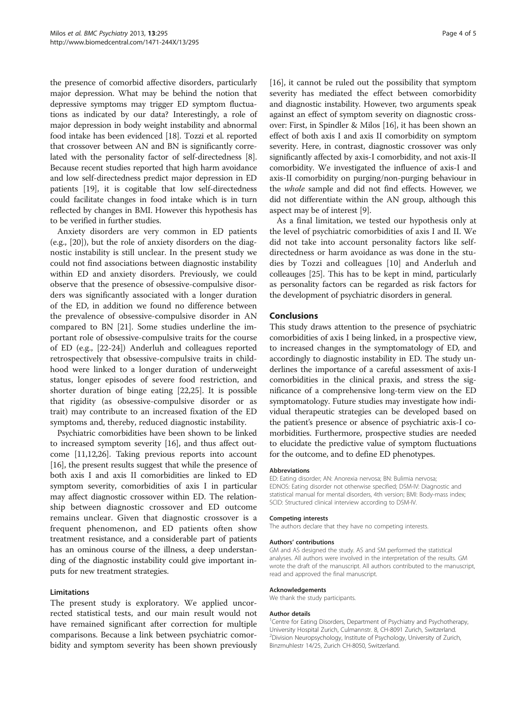the presence of comorbid affective disorders, particularly major depression. What may be behind the notion that depressive symptoms may trigger ED symptom fluctuations as indicated by our data? Interestingly, a role of major depression in body weight instability and abnormal food intake has been evidenced [\[18\]](#page-4-0). Tozzi et al. reported that crossover between AN and BN is significantly correlated with the personality factor of self-directedness [[8](#page-4-0)]. Because recent studies reported that high harm avoidance and low self-directedness predict major depression in ED patients [\[19\]](#page-4-0), it is cogitable that low self-directedness could facilitate changes in food intake which is in turn reflected by changes in BMI. However this hypothesis has to be verified in further studies.

Anxiety disorders are very common in ED patients (e.g., [[20\]](#page-4-0)), but the role of anxiety disorders on the diagnostic instability is still unclear. In the present study we could not find associations between diagnostic instability within ED and anxiety disorders. Previously, we could observe that the presence of obsessive-compulsive disorders was significantly associated with a longer duration of the ED, in addition we found no difference between the prevalence of obsessive-compulsive disorder in AN compared to BN [[21](#page-4-0)]. Some studies underline the important role of obsessive-compulsive traits for the course of ED (e.g., [[22-24\]](#page-4-0)) Anderluh and colleagues reported retrospectively that obsessive-compulsive traits in childhood were linked to a longer duration of underweight status, longer episodes of severe food restriction, and shorter duration of binge eating [\[22,25](#page-4-0)]. It is possible that rigidity (as obsessive-compulsive disorder or as trait) may contribute to an increased fixation of the ED symptoms and, thereby, reduced diagnostic instability.

Psychiatric comorbidities have been shown to be linked to increased symptom severity [\[16\]](#page-4-0), and thus affect outcome [\[11,12,26](#page-4-0)]. Taking previous reports into account [[16](#page-4-0)], the present results suggest that while the presence of both axis I and axis II comorbidities are linked to ED symptom severity, comorbidities of axis I in particular may affect diagnostic crossover within ED. The relationship between diagnostic crossover and ED outcome remains unclear. Given that diagnostic crossover is a frequent phenomenon, and ED patients often show treatment resistance, and a considerable part of patients has an ominous course of the illness, a deep understanding of the diagnostic instability could give important inputs for new treatment strategies.

#### Limitations

The present study is exploratory. We applied uncorrected statistical tests, and our main result would not have remained significant after correction for multiple comparisons. Because a link between psychiatric comorbidity and symptom severity has been shown previously

[[16\]](#page-4-0), it cannot be ruled out the possibility that symptom severity has mediated the effect between comorbidity and diagnostic instability. However, two arguments speak against an effect of symptom severity on diagnostic crossover: First, in Spindler & Milos [[16](#page-4-0)], it has been shown an effect of both axis I and axis II comorbidity on symptom severity. Here, in contrast, diagnostic crossover was only significantly affected by axis-I comorbidity, and not axis-II comorbidity. We investigated the influence of axis-I and axis-II comorbidity on purging/non-purging behaviour in the whole sample and did not find effects. However, we did not differentiate within the AN group, although this aspect may be of interest [[9\]](#page-4-0).

As a final limitation, we tested our hypothesis only at the level of psychiatric comorbidities of axis I and II. We did not take into account personality factors like selfdirectedness or harm avoidance as was done in the studies by Tozzi and colleagues [\[10](#page-4-0)] and Anderluh and colleauges [\[25\]](#page-4-0). This has to be kept in mind, particularly as personality factors can be regarded as risk factors for the development of psychiatric disorders in general.

# Conclusions

This study draws attention to the presence of psychiatric comorbidities of axis I being linked, in a prospective view, to increased changes in the symptomatology of ED, and accordingly to diagnostic instability in ED. The study underlines the importance of a careful assessment of axis-I comorbidities in the clinical praxis, and stress the significance of a comprehensive long-term view on the ED symptomatology. Future studies may investigate how individual therapeutic strategies can be developed based on the patient's presence or absence of psychiatric axis-I comorbidities. Furthermore, prospective studies are needed to elucidate the predictive value of symptom fluctuations for the outcome, and to define ED phenotypes.

#### Abbreviations

ED: Eating disorder; AN: Anorexia nervosa; BN: Bulimia nervosa; EDNOS: Eating disorder not otherwise specified; DSM-IV: Diagnostic and statistical manual for mental disorders, 4th version; BMI: Body-mass index; SCID: Structured clinical interview according to DSM-IV.

#### Competing interests

The authors declare that they have no competing interests.

#### Authors' contributions

GM and AS designed the study. AS and SM performed the statistical analyses. All authors were involved in the interpretation of the results. GM wrote the draft of the manuscript. All authors contributed to the manuscript, read and approved the final manuscript.

#### Acknowledgements

We thank the study participants.

#### Author details

<sup>1</sup> Centre for Eating Disorders, Department of Psychiatry and Psychotherapy, University Hospital Zurich, Culmannstr. 8, CH-8091 Zurich, Switzerland. <sup>2</sup> Division Neuropsychology, Institute of Psychology, University of Zurich, Binzmuhlestr 14/25, Zurich CH-8050, Switzerland.